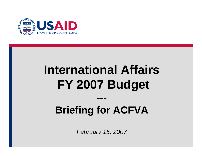

# **International Affairs FY 2007 Budget**

# **Briefing for ACFVA**

**---**

*February 15, 2007*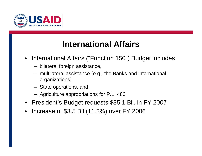

#### **International Affairs**

- $\bullet$  International Affairs ("Function 150") Budget includes
	- bilateral foreign assistance,
	- multilateral assistance (e.g., the Banks and international organizations)
	- State operations, and
	- Agriculture appropriations for P.L. 480
- President's Budget requests \$35.1 Bil. in FY 2007
- •Increase of \$3.5 Bil (11.2%) over FY 2006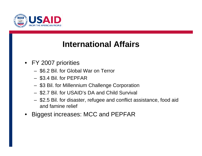

#### **International Affairs**

- FY 2007 priorities
	- \$6.2 Bil. for Global War on Terror
	- \$3.4 Bil. for PEPFAR
	- \$3 Bil. for Millennium Challenge Corporation
	- \$2.7 Bil. for USAID's DA and Child Survival
	- \$2.5 Bil. for disaster, refugee and conflict assistance, food aid and famine relief
- •Biggest increases: MCC and PEPFAR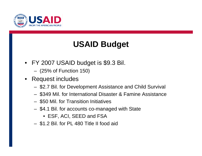

## **USAID Budget**

- FY 2007 USAID budget is \$9.3 Bil.
	- (25% of Function 150)
- $\bullet$  Request includes
	- \$2.7 Bil. for Development Assistance and Child Survival
	- \$349 Mil. for International Disaster & Famine Assistance
	- \$50 Mil. for Transition Initiatives
	- \$4.1 Bil. for accounts co-managed with State
		- ESF, ACI, SEED and FSA
	- \$1.2 Bil. for PL 480 Title II food aid